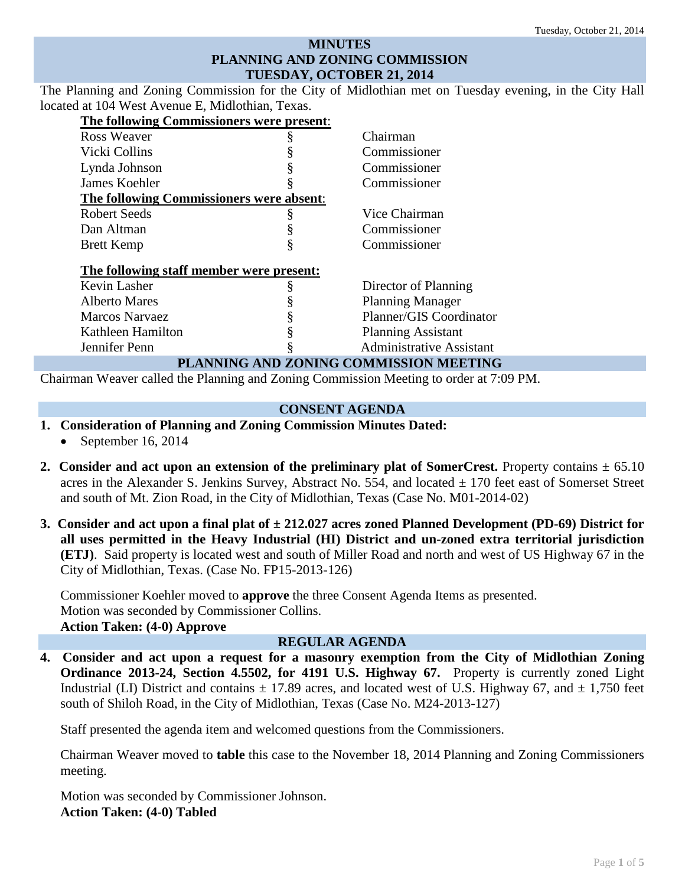## **MINUTES PLANNING AND ZONING COMMISSION TUESDAY, OCTOBER 21, 2014**

The Planning and Zoning Commission for the City of Midlothian met on Tuesday evening, in the City Hall located at 104 West Avenue E, Midlothian, Texas.

| The following Commissioners were present: |   |                                 |
|-------------------------------------------|---|---------------------------------|
| Ross Weaver                               |   | Chairman                        |
| Vicki Collins                             |   | Commissioner                    |
| Lynda Johnson                             | § | Commissioner                    |
| James Koehler                             | § | Commissioner                    |
| The following Commissioners were absent:  |   |                                 |
| Robert Seeds                              | § | Vice Chairman                   |
| Dan Altman                                | § | Commissioner                    |
| <b>Brett Kemp</b>                         | § | Commissioner                    |
| The following staff member were present:  |   |                                 |
| Kevin Lasher                              | § | Director of Planning            |
| <b>Alberto Mares</b>                      |   | <b>Planning Manager</b>         |
| <b>Marcos Narvaez</b>                     |   | Planner/GIS Coordinator         |
| Kathleen Hamilton                         | § | <b>Planning Assistant</b>       |
| Jennifer Penn                             | § | <b>Administrative Assistant</b> |
| PLANNING AND ZONING COMMISSION MEETING    |   |                                 |

Chairman Weaver called the Planning and Zoning Commission Meeting to order at 7:09 PM.

#### **CONSENT AGENDA**

- **1. Consideration of Planning and Zoning Commission Minutes Dated:** 
	- September 16, 2014
- **2.** Consider and act upon an extension of the preliminary plat of SomerCrest. Property contains  $\pm$  65.10 acres in the Alexander S. Jenkins Survey, Abstract No. 554, and located  $\pm$  170 feet east of Somerset Street and south of Mt. Zion Road, in the City of Midlothian, Texas (Case No. M01-2014-02)
- **3. Consider and act upon a final plat of ± 212.027 acres zoned Planned Development (PD-69) District for all uses permitted in the Heavy Industrial (HI) District and un-zoned extra territorial jurisdiction (ETJ)**. Said property is located west and south of Miller Road and north and west of US Highway 67 in the City of Midlothian, Texas. (Case No. FP15-2013-126)

Commissioner Koehler moved to **approve** the three Consent Agenda Items as presented. Motion was seconded by Commissioner Collins. **Action Taken: (4-0) Approve**

### **REGULAR AGENDA**

**4. Consider and act upon a request for a masonry exemption from the City of Midlothian Zoning Ordinance 2013-24, Section 4.5502, for 4191 U.S. Highway 67.** Property is currently zoned Light Industrial (LI) District and contains  $\pm$  17.89 acres, and located west of U.S. Highway 67, and  $\pm$  1,750 feet south of Shiloh Road, in the City of Midlothian, Texas (Case No. M24-2013-127)

Staff presented the agenda item and welcomed questions from the Commissioners.

Chairman Weaver moved to **table** this case to the November 18, 2014 Planning and Zoning Commissioners meeting.

Motion was seconded by Commissioner Johnson. **Action Taken: (4-0) Tabled**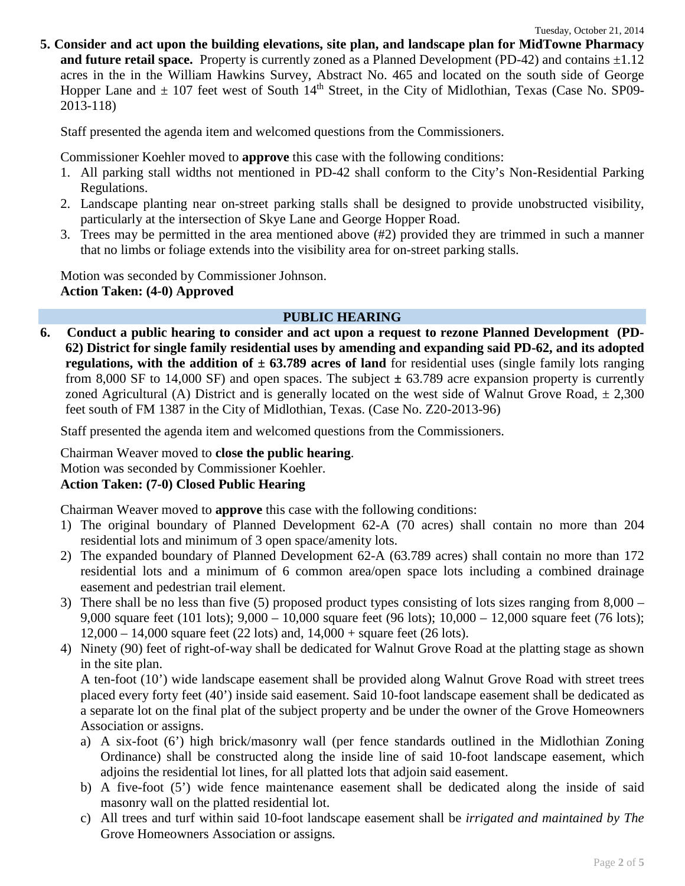**5. Consider and act upon the building elevations, site plan, and landscape plan for MidTowne Pharmacy and future retail space.** Property is currently zoned as a Planned Development (PD-42) and contains  $\pm 1.12$ acres in the in the William Hawkins Survey, Abstract No. 465 and located on the south side of George Hopper Lane and  $\pm$  107 feet west of South 14<sup>th</sup> Street, in the City of Midlothian, Texas (Case No. SP09-2013-118)

Staff presented the agenda item and welcomed questions from the Commissioners.

Commissioner Koehler moved to **approve** this case with the following conditions:

- 1. All parking stall widths not mentioned in PD-42 shall conform to the City's Non-Residential Parking Regulations.
- 2. Landscape planting near on-street parking stalls shall be designed to provide unobstructed visibility, particularly at the intersection of Skye Lane and George Hopper Road.
- 3. Trees may be permitted in the area mentioned above (#2) provided they are trimmed in such a manner that no limbs or foliage extends into the visibility area for on-street parking stalls.

Motion was seconded by Commissioner Johnson. **Action Taken: (4-0) Approved**

### **PUBLIC HEARING**

**6. Conduct a public hearing to consider and act upon a request to rezone Planned Development (PD-62) District for single family residential uses by amending and expanding said PD-62, and its adopted regulations, with the addition of**  $\pm$  **63.789 acres of land** for residential uses (single family lots ranging from 8,000 SF to 14,000 SF) and open spaces. The subject **±** 63.789 acre expansion property is currently zoned Agricultural (A) District and is generally located on the west side of Walnut Grove Road,  $\pm 2,300$ feet south of FM 1387 in the City of Midlothian, Texas. (Case No. Z20-2013-96)

Staff presented the agenda item and welcomed questions from the Commissioners.

Chairman Weaver moved to **close the public hearing**. Motion was seconded by Commissioner Koehler. **Action Taken: (7-0) Closed Public Hearing**

Chairman Weaver moved to **approve** this case with the following conditions:

- 1) The original boundary of Planned Development 62-A (70 acres) shall contain no more than 204 residential lots and minimum of 3 open space/amenity lots.
- 2) The expanded boundary of Planned Development 62-A (63.789 acres) shall contain no more than 172 residential lots and a minimum of 6 common area/open space lots including a combined drainage easement and pedestrian trail element.
- 3) There shall be no less than five (5) proposed product types consisting of lots sizes ranging from 8,000 9,000 square feet (101 lots); 9,000 – 10,000 square feet (96 lots); 10,000 – 12,000 square feet (76 lots); 12,000 – 14,000 square feet (22 lots) and, 14,000 + square feet (26 lots).
- 4) Ninety (90) feet of right-of-way shall be dedicated for Walnut Grove Road at the platting stage as shown in the site plan.

A ten-foot (10') wide landscape easement shall be provided along Walnut Grove Road with street trees placed every forty feet (40') inside said easement. Said 10-foot landscape easement shall be dedicated as a separate lot on the final plat of the subject property and be under the owner of the Grove Homeowners Association or assigns.

- a) A six-foot (6') high brick/masonry wall (per fence standards outlined in the Midlothian Zoning Ordinance) shall be constructed along the inside line of said 10-foot landscape easement, which adjoins the residential lot lines, for all platted lots that adjoin said easement.
- b) A five-foot (5') wide fence maintenance easement shall be dedicated along the inside of said masonry wall on the platted residential lot.
- c) All trees and turf within said 10-foot landscape easement shall be *irrigated and maintained by The*  Grove Homeowners Association or assigns*.*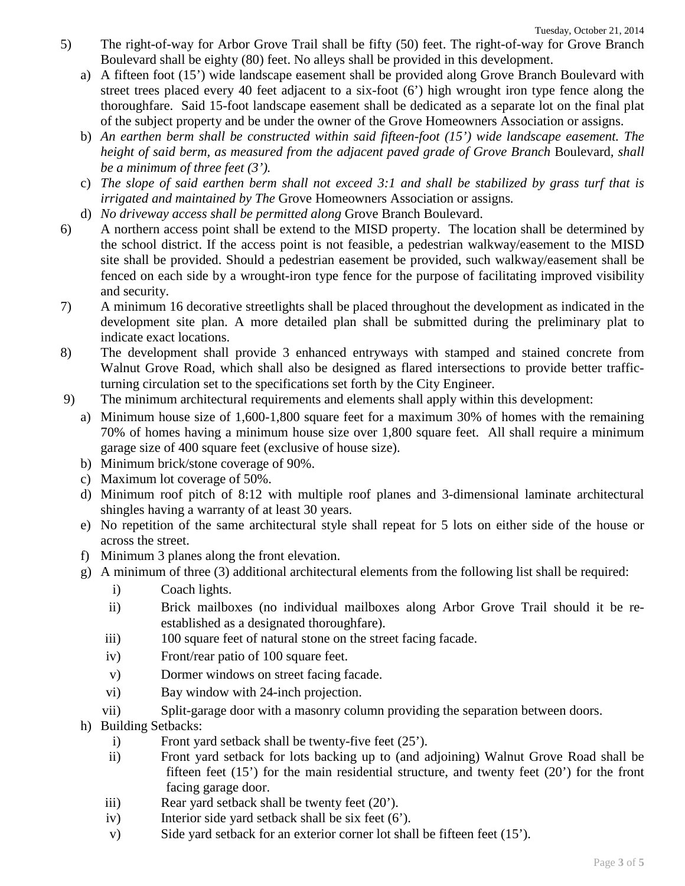- 5) The right-of-way for Arbor Grove Trail shall be fifty (50) feet. The right-of-way for Grove Branch Boulevard shall be eighty (80) feet. No alleys shall be provided in this development.
	- a) A fifteen foot (15') wide landscape easement shall be provided along Grove Branch Boulevard with street trees placed every 40 feet adjacent to a six-foot (6') high wrought iron type fence along the thoroughfare.Said 15-foot landscape easement shall be dedicated as a separate lot on the final plat of the subject property and be under the owner of the Grove Homeowners Association or assigns.
	- b) *An earthen berm shall be constructed within said fifteen-foot (15') wide landscape easement. The height of said berm, as measured from the adjacent paved grade of Grove Branch Boulevard, shall be a minimum of three feet (3').*
	- c) *The slope of said earthen berm shall not exceed 3:1 and shall be stabilized by grass turf that is irrigated and maintained by The* Grove Homeowners Association or assigns*.*
	- d) *No driveway access shall be permitted along* Grove Branch Boulevard.
- 6) A northern access point shall be extend to the MISD property. The location shall be determined by the school district. If the access point is not feasible, a pedestrian walkway/easement to the MISD site shall be provided. Should a pedestrian easement be provided, such walkway/easement shall be fenced on each side by a wrought-iron type fence for the purpose of facilitating improved visibility and security.
- 7) A minimum 16 decorative streetlights shall be placed throughout the development as indicated in the development site plan. A more detailed plan shall be submitted during the preliminary plat to indicate exact locations.
- 8) The development shall provide 3 enhanced entryways with stamped and stained concrete from Walnut Grove Road, which shall also be designed as flared intersections to provide better trafficturning circulation set to the specifications set forth by the City Engineer.
- 9) The minimum architectural requirements and elements shall apply within this development:
	- a) Minimum house size of 1,600-1,800 square feet for a maximum 30% of homes with the remaining 70% of homes having a minimum house size over 1,800 square feet. All shall require a minimum garage size of 400 square feet (exclusive of house size).
	- b) Minimum brick/stone coverage of 90%.
	- c) Maximum lot coverage of 50%.
	- d) Minimum roof pitch of 8:12 with multiple roof planes and 3-dimensional laminate architectural shingles having a warranty of at least 30 years.
	- e) No repetition of the same architectural style shall repeat for 5 lots on either side of the house or across the street.
	- f) Minimum 3 planes along the front elevation.
	- g) A minimum of three (3) additional architectural elements from the following list shall be required:
		- i) Coach lights.
		- ii) Brick mailboxes (no individual mailboxes along Arbor Grove Trail should it be reestablished as a designated thoroughfare).
		- iii) 100 square feet of natural stone on the street facing facade.
		- iv) Front/rear patio of 100 square feet.
		- v) Dormer windows on street facing facade.
		- vi) Bay window with 24-inch projection.
		- vii) Split-garage door with a masonry column providing the separation between doors.
	- h) Building Setbacks:
		- i) Front yard setback shall be twenty-five feet (25').
		- ii) Front yard setback for lots backing up to (and adjoining) Walnut Grove Road shall be fifteen feet  $(15')$  for the main residential structure, and twenty feet  $(20')$  for the front facing garage door.
		- iii) Rear yard setback shall be twenty feet (20').
		- iv) Interior side yard setback shall be six feet (6').
		- v) Side yard setback for an exterior corner lot shall be fifteen feet (15').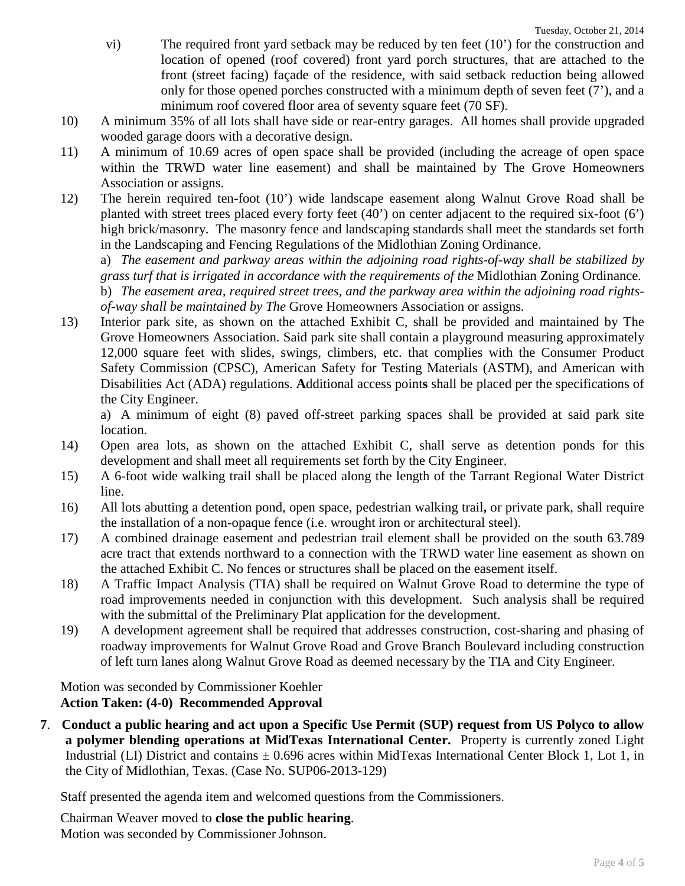- vi) The required front yard setback may be reduced by ten feet (10') for the construction and location of opened (roof covered) front yard porch structures, that are attached to the front (street facing) façade of the residence, with said setback reduction being allowed only for those opened porches constructed with a minimum depth of seven feet (7'), and a minimum roof covered floor area of seventy square feet (70 SF).
- 10) A minimum 35% of all lots shall have side or rear-entry garages. All homes shall provide upgraded wooded garage doors with a decorative design.
- 11) A minimum of 10.69 acres of open space shall be provided (including the acreage of open space within the TRWD water line easement) and shall be maintained by The Grove Homeowners Association or assigns.
- 12) The herein required ten**-**foot (10') wide landscape easement along Walnut Grove Road shall be planted with street trees placed every forty feet (40') on center adjacent to the required six-foot (6') high brick/masonry. The masonry fence and landscaping standards shall meet the standards set forth in the Landscaping and Fencing Regulations of the Midlothian Zoning Ordinance.

a) *The easement and parkway areas within the adjoining road rights-of-way shall be stabilized by grass turf that is irrigated in accordance with the requirements of the* Midlothian Zoning Ordinance*.* b) *The easement area, required street trees, and the parkway area within the adjoining road rightsof-way shall be maintained by The* Grove Homeowners Association or assigns*.*

13) Interior park site, as shown on the attached Exhibit C, shall be provided and maintained by The Grove Homeowners Association. Said park site shall contain a playground measuring approximately 12,000 square feet with slides, swings, climbers, etc. that complies with the Consumer Product Safety Commission (CPSC), American Safety for Testing Materials (ASTM), and American with Disabilities Act (ADA) regulations. **A**dditional access point**s** shall be placed per the specifications of the City Engineer.

a) A minimum of eight (8) paved off-street parking spaces shall be provided at said park site location.

- 14) Open area lots, as shown on the attached Exhibit C, shall serve as detention ponds for this development and shall meet all requirements set forth by the City Engineer.
- 15) A 6-foot wide walking trail shall be placed along the length of the Tarrant Regional Water District line.
- 16) All lots abutting a detention pond, open space, pedestrian walking trail**,** or private park, shall require the installation of a non-opaque fence (i.e. wrought iron or architectural steel).
- 17) A combined drainage easement and pedestrian trail element shall be provided on the south 63.789 acre tract that extends northward to a connection with the TRWD water line easement as shown on the attached Exhibit C. No fences or structures shall be placed on the easement itself.
- 18) A Traffic Impact Analysis (TIA) shall be required on Walnut Grove Road to determine the type of road improvements needed in conjunction with this development. Such analysis shall be required with the submittal of the Preliminary Plat application for the development.
- 19) A development agreement shall be required that addresses construction, cost-sharing and phasing of roadway improvements for Walnut Grove Road and Grove Branch Boulevard including construction of left turn lanes along Walnut Grove Road as deemed necessary by the TIA and City Engineer.

Motion was seconded by Commissioner Koehler **Action Taken: (4-0) Recommended Approval**

**7**. **Conduct a public hearing and act upon a Specific Use Permit (SUP) request from US Polyco to allow a polymer blending operations at MidTexas International Center.** Property is currently zoned Light Industrial (LI) District and contains  $\pm$  0.696 acres within MidTexas International Center Block 1, Lot 1, in the City of Midlothian, Texas. (Case No. SUP06-2013-129)

Staff presented the agenda item and welcomed questions from the Commissioners.

Chairman Weaver moved to **close the public hearing**. Motion was seconded by Commissioner Johnson.